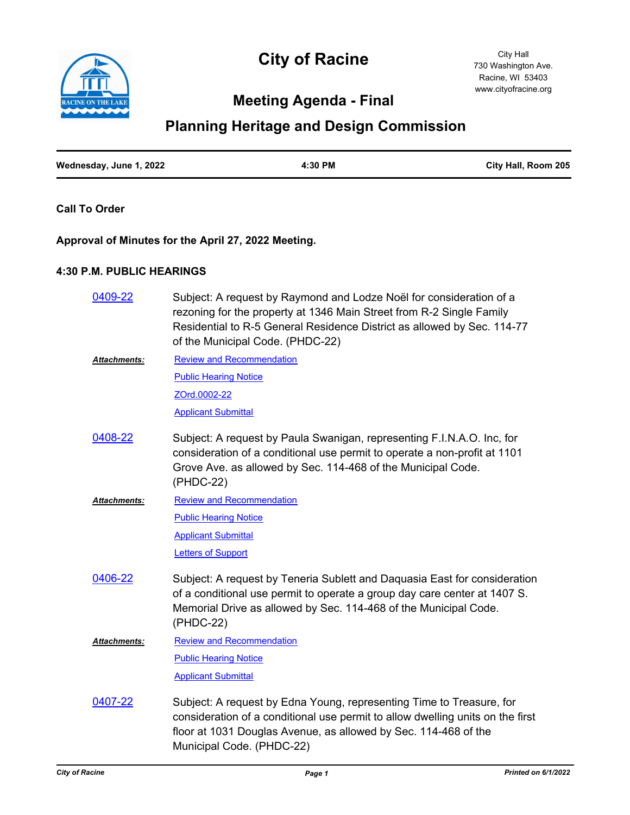



## **Meeting Agenda - Final**

# **Planning Heritage and Design Commission**

| Wednesday, June 1, 2022 | 4:30 PM | City Hall, Room 205 |
|-------------------------|---------|---------------------|
|                         |         |                     |

#### **Call To Order**

### **Approval of Minutes for the April 27, 2022 Meeting.**

#### **4:30 P.M. PUBLIC HEARINGS**

| 0409-22             | Subject: A request by Raymond and Lodze Noël for consideration of a<br>rezoning for the property at 1346 Main Street from R-2 Single Family<br>Residential to R-5 General Residence District as allowed by Sec. 114-77<br>of the Municipal Code. (PHDC-22) |
|---------------------|------------------------------------------------------------------------------------------------------------------------------------------------------------------------------------------------------------------------------------------------------------|
| <b>Attachments:</b> | <b>Review and Recommendation</b>                                                                                                                                                                                                                           |
|                     | <b>Public Hearing Notice</b>                                                                                                                                                                                                                               |
|                     | ZOrd.0002-22                                                                                                                                                                                                                                               |
|                     | <b>Applicant Submittal</b>                                                                                                                                                                                                                                 |
| 0408-22             | Subject: A request by Paula Swanigan, representing F.I.N.A.O. Inc, for<br>consideration of a conditional use permit to operate a non-profit at 1101<br>Grove Ave. as allowed by Sec. 114-468 of the Municipal Code.<br>(PHDC-22)                           |
| Attachments:        | <b>Review and Recommendation</b>                                                                                                                                                                                                                           |
|                     | <b>Public Hearing Notice</b>                                                                                                                                                                                                                               |
|                     | <b>Applicant Submittal</b>                                                                                                                                                                                                                                 |
|                     | <b>Letters of Support</b>                                                                                                                                                                                                                                  |
| 0406-22             | Subject: A request by Teneria Sublett and Daquasia East for consideration<br>of a conditional use permit to operate a group day care center at 1407 S.<br>Memorial Drive as allowed by Sec. 114-468 of the Municipal Code.<br>(PHDC-22)                    |
| <b>Attachments:</b> | <b>Review and Recommendation</b>                                                                                                                                                                                                                           |
|                     | <b>Public Hearing Notice</b>                                                                                                                                                                                                                               |
|                     | <b>Applicant Submittal</b>                                                                                                                                                                                                                                 |
| 0407-22             | Subject: A request by Edna Young, representing Time to Treasure, for<br>consideration of a conditional use permit to allow dwelling units on the first<br>floor at 1031 Douglas Avenue, as allowed by Sec. 114-468 of the<br>Municipal Code. (PHDC-22)     |